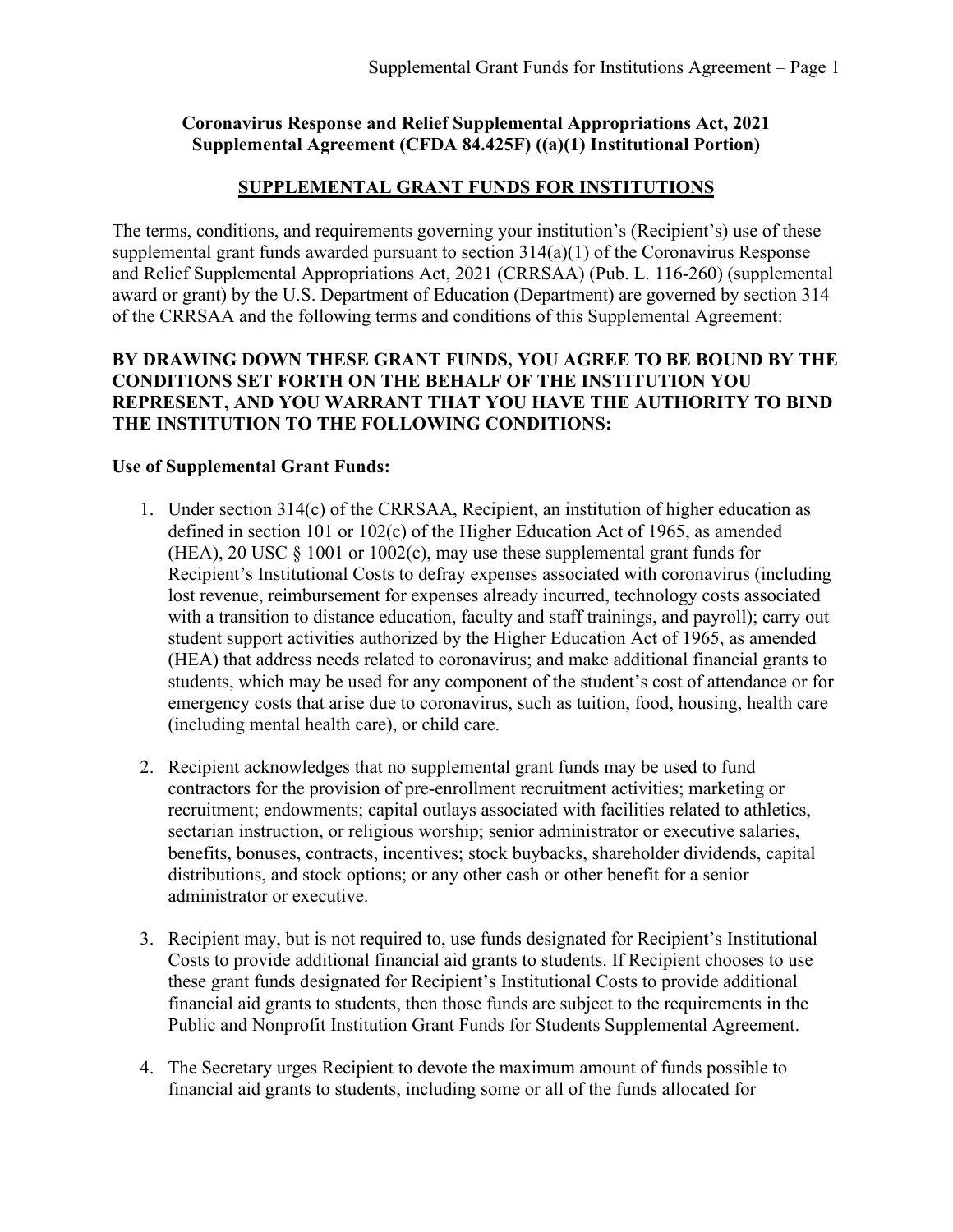# **Coronavirus Response and Relief Supplemental Appropriations Act, 2021 Supplemental Agreement (CFDA 84.425F) ((a)(1) Institutional Portion)**

## **SUPPLEMENTAL GRANT FUNDS FOR INSTITUTIONS**

The terms, conditions, and requirements governing your institution's (Recipient's) use of these supplemental grant funds awarded pursuant to section 314(a)(1) of the Coronavirus Response and Relief Supplemental Appropriations Act, 2021 (CRRSAA) (Pub. L. 116-260) (supplemental award or grant) by the U.S. Department of Education (Department) are governed by section 314 of the CRRSAA and the following terms and conditions of this Supplemental Agreement:

## **BY DRAWING DOWN THESE GRANT FUNDS, YOU AGREE TO BE BOUND BY THE CONDITIONS SET FORTH ON THE BEHALF OF THE INSTITUTION YOU REPRESENT, AND YOU WARRANT THAT YOU HAVE THE AUTHORITY TO BIND THE INSTITUTION TO THE FOLLOWING CONDITIONS:**

#### **Use of Supplemental Grant Funds:**

- 1. Under section 314(c) of the CRRSAA, Recipient, an institution of higher education as defined in section 101 or 102(c) of the Higher Education Act of 1965, as amended (HEA), 20 USC  $\S$  1001 or 1002(c), may use these supplemental grant funds for Recipient's Institutional Costs to defray expenses associated with coronavirus (including lost revenue, reimbursement for expenses already incurred, technology costs associated with a transition to distance education, faculty and staff trainings, and payroll); carry out student support activities authorized by the Higher Education Act of 1965, as amended (HEA) that address needs related to coronavirus; and make additional financial grants to students, which may be used for any component of the student's cost of attendance or for emergency costs that arise due to coronavirus, such as tuition, food, housing, health care (including mental health care), or child care.
- 2. Recipient acknowledges that no supplemental grant funds may be used to fund contractors for the provision of pre-enrollment recruitment activities; marketing or recruitment; endowments; capital outlays associated with facilities related to athletics, sectarian instruction, or religious worship; senior administrator or executive salaries, benefits, bonuses, contracts, incentives; stock buybacks, shareholder dividends, capital distributions, and stock options; or any other cash or other benefit for a senior administrator or executive.
- 3. Recipient may, but is not required to, use funds designated for Recipient's Institutional Costs to provide additional financial aid grants to students. If Recipient chooses to use these grant funds designated for Recipient's Institutional Costs to provide additional financial aid grants to students, then those funds are subject to the requirements in the Public and Nonprofit Institution Grant Funds for Students Supplemental Agreement.
- 4. The Secretary urges Recipient to devote the maximum amount of funds possible to financial aid grants to students, including some or all of the funds allocated for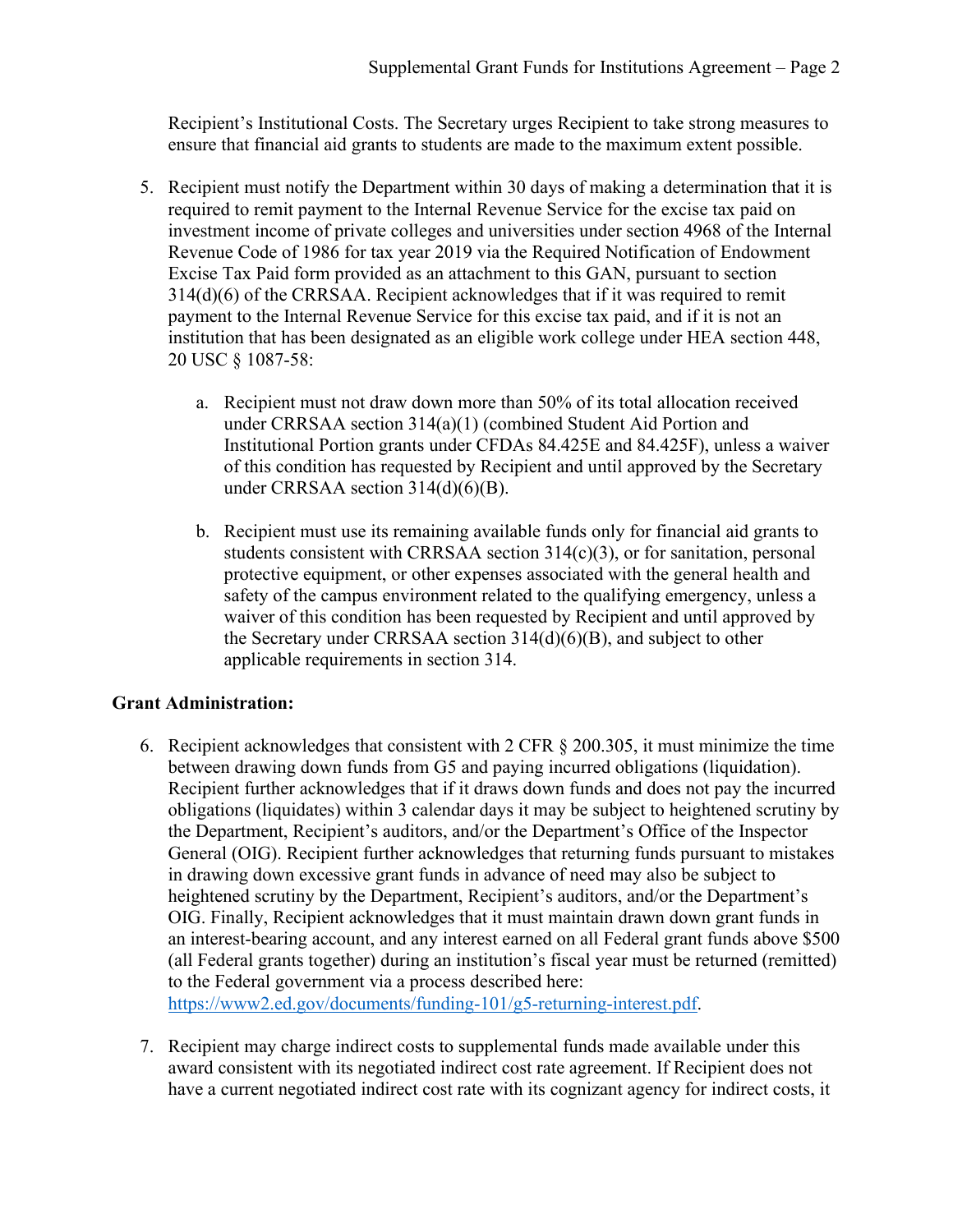Recipient's Institutional Costs. The Secretary urges Recipient to take strong measures to ensure that financial aid grants to students are made to the maximum extent possible.

- 5. Recipient must notify the Department within 30 days of making a determination that it is required to remit payment to the Internal Revenue Service for the excise tax paid on investment income of private colleges and universities under section 4968 of the Internal Revenue Code of 1986 for tax year 2019 via the Required Notification of Endowment Excise Tax Paid form provided as an attachment to this GAN, pursuant to section 314(d)(6) of the CRRSAA. Recipient acknowledges that if it was required to remit payment to the Internal Revenue Service for this excise tax paid, and if it is not an institution that has been designated as an eligible work college under HEA section 448, 20 USC § 1087-58:
	- a. Recipient must not draw down more than 50% of its total allocation received under CRRSAA section 314(a)(1) (combined Student Aid Portion and Institutional Portion grants under CFDAs 84.425E and 84.425F), unless a waiver of this condition has requested by Recipient and until approved by the Secretary under CRRSAA section 314(d)(6)(B).
	- b. Recipient must use its remaining available funds only for financial aid grants to students consistent with CRRSAA section  $314(c)(3)$ , or for sanitation, personal protective equipment, or other expenses associated with the general health and safety of the campus environment related to the qualifying emergency, unless a waiver of this condition has been requested by Recipient and until approved by the Secretary under CRRSAA section 314(d)(6)(B), and subject to other applicable requirements in section 314.

# **Grant Administration:**

- 6. Recipient acknowledges that consistent with 2 CFR § 200.305, it must minimize the time between drawing down funds from G5 and paying incurred obligations (liquidation). Recipient further acknowledges that if it draws down funds and does not pay the incurred obligations (liquidates) within 3 calendar days it may be subject to heightened scrutiny by the Department, Recipient's auditors, and/or the Department's Office of the Inspector General (OIG). Recipient further acknowledges that returning funds pursuant to mistakes in drawing down excessive grant funds in advance of need may also be subject to heightened scrutiny by the Department, Recipient's auditors, and/or the Department's OIG. Finally, Recipient acknowledges that it must maintain drawn down grant funds in an interest-bearing account, and any interest earned on all Federal grant funds above \$500 (all Federal grants together) during an institution's fiscal year must be returned (remitted) to the Federal government via a process described here: [https://www2.ed.gov/documents/funding-101/g5-returning-interest.pdf.](https://www2.ed.gov/documents/funding-101/g5-returning-interest.pdf)
- 7. Recipient may charge indirect costs to supplemental funds made available under this award consistent with its negotiated indirect cost rate agreement. If Recipient does not have a current negotiated indirect cost rate with its cognizant agency for indirect costs, it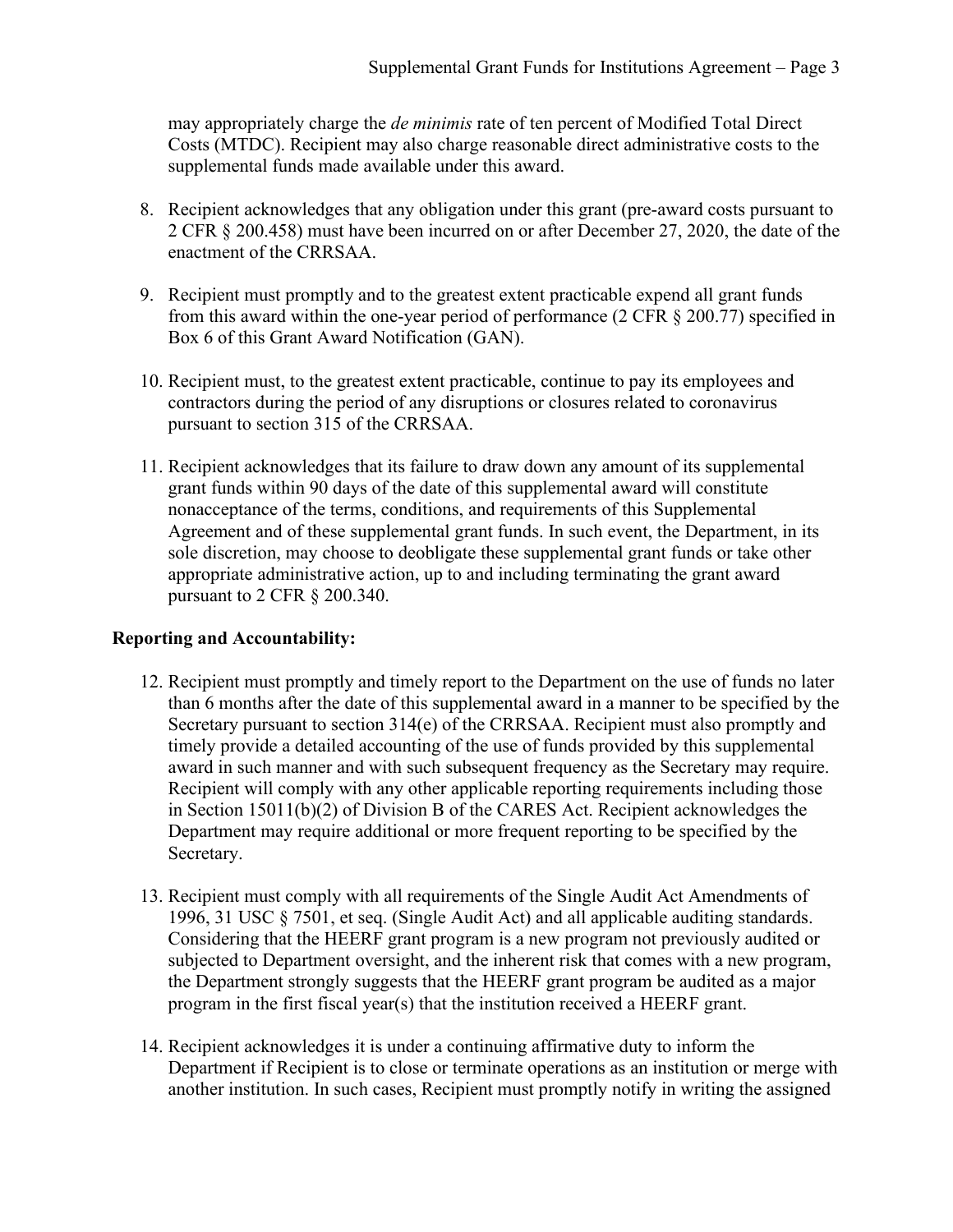may appropriately charge the *de minimis* rate of ten percent of Modified Total Direct Costs (MTDC). Recipient may also charge reasonable direct administrative costs to the supplemental funds made available under this award.

- 8. Recipient acknowledges that any obligation under this grant (pre-award costs pursuant to 2 CFR § 200.458) must have been incurred on or after December 27, 2020, the date of the enactment of the CRRSAA.
- 9. Recipient must promptly and to the greatest extent practicable expend all grant funds from this award within the one-year period of performance (2 CFR § 200.77) specified in Box 6 of this Grant Award Notification (GAN).
- 10. Recipient must, to the greatest extent practicable, continue to pay its employees and contractors during the period of any disruptions or closures related to coronavirus pursuant to section 315 of the CRRSAA.
- 11. Recipient acknowledges that its failure to draw down any amount of its supplemental grant funds within 90 days of the date of this supplemental award will constitute nonacceptance of the terms, conditions, and requirements of this Supplemental Agreement and of these supplemental grant funds. In such event, the Department, in its sole discretion, may choose to deobligate these supplemental grant funds or take other appropriate administrative action, up to and including terminating the grant award pursuant to 2 CFR § 200.340.

# **Reporting and Accountability:**

- 12. Recipient must promptly and timely report to the Department on the use of funds no later than 6 months after the date of this supplemental award in a manner to be specified by the Secretary pursuant to section 314(e) of the CRRSAA. Recipient must also promptly and timely provide a detailed accounting of the use of funds provided by this supplemental award in such manner and with such subsequent frequency as the Secretary may require. Recipient will comply with any other applicable reporting requirements including those in Section 15011(b)(2) of Division B of the CARES Act. Recipient acknowledges the Department may require additional or more frequent reporting to be specified by the Secretary.
- 13. Recipient must comply with all requirements of the Single Audit Act Amendments of 1996, 31 USC § 7501, et seq. (Single Audit Act) and all applicable auditing standards. Considering that the HEERF grant program is a new program not previously audited or subjected to Department oversight, and the inherent risk that comes with a new program, the Department strongly suggests that the HEERF grant program be audited as a major program in the first fiscal year(s) that the institution received a HEERF grant.
- 14. Recipient acknowledges it is under a continuing affirmative duty to inform the Department if Recipient is to close or terminate operations as an institution or merge with another institution. In such cases, Recipient must promptly notify in writing the assigned